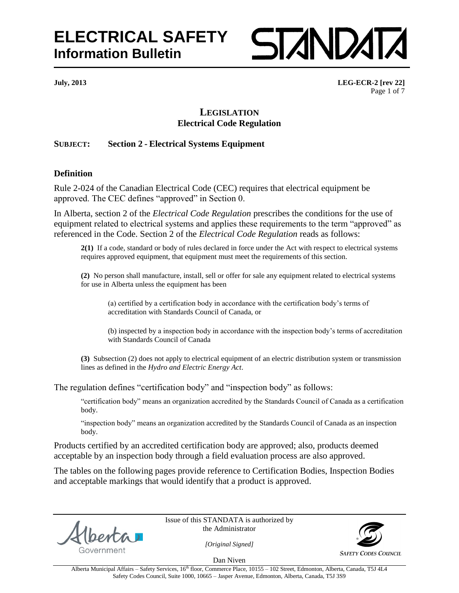

**July, 2013 LEG-ECR-2 [rev 22]** Page 1 of 7

## **LEGISLATION Electrical Code Regulation**

## **SUBJECT: Section 2 - Electrical Systems Equipment**

## **Definition**

Rule 2-024 of the Canadian Electrical Code (CEC) requires that electrical equipment be approved. The CEC defines "approved" in Section 0.

In Alberta, section 2 of the *Electrical Code Regulation* prescribes the conditions for the use of equipment related to electrical systems and applies these requirements to the term "approved" as referenced in the Code. Section 2 of the *Electrical Code Regulation* reads as follows:

**2(1)** If a code, standard or body of rules declared in force under the Act with respect to electrical systems requires approved equipment, that equipment must meet the requirements of this section.

**(2)** No person shall manufacture, install, sell or offer for sale any equipment related to electrical systems for use in Alberta unless the equipment has been

(a) certified by a certification body in accordance with the certification body"s terms of accreditation with Standards Council of Canada, or

(b) inspected by a inspection body in accordance with the inspection body"s terms of accreditation with Standards Council of Canada

**(3)** Subsection (2) does not apply to electrical equipment of an electric distribution system or transmission lines as defined in the *Hydro and Electric Energy Act*.

The regulation defines "certification body" and "inspection body" as follows:

"certification body" means an organization accredited by the Standards Council of Canada as a certification body.

"inspection body" means an organization accredited by the Standards Council of Canada as an inspection body.

Products certified by an accredited certification body are approved; also, products deemed acceptable by an inspection body through a field evaluation process are also approved.

The tables on the following pages provide reference to Certification Bodies, Inspection Bodies and acceptable markings that would identify that a product is approved.

Government

Issue of this STANDATA is authorized by the Administrator



**SAFETY CODES COUNCIL** 

*[Original Signed]* Dan Niven

Alberta Municipal Affairs - Safety Services, 16<sup>th</sup> floor, Commerce Place, 10155 - 102 Street, Edmonton, Alberta, Canada, T5J 4L4 Safety Codes Council, Suite 1000, 10665 – Jasper Avenue, Edmonton, Alberta, Canada, T5J 3S9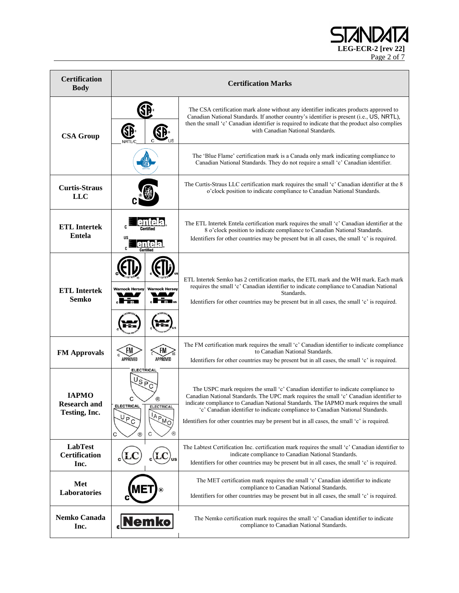LEG-ECR-2 [rev 22] Page 2 of 7

| <b>Certification</b><br><b>Body</b>                  | <b>Certification Marks</b>                                                                                             |                                                                                                                                                                                                                                                                                                                                                                                                                                                         |
|------------------------------------------------------|------------------------------------------------------------------------------------------------------------------------|---------------------------------------------------------------------------------------------------------------------------------------------------------------------------------------------------------------------------------------------------------------------------------------------------------------------------------------------------------------------------------------------------------------------------------------------------------|
| <b>CSA Group</b>                                     | SE<br><b>SD</b><br><b>NRTL/C</b>                                                                                       | The CSA certification mark alone without any identifier indicates products approved to<br>Canadian National Standards. If another country's identifier is present (i.e., US, NRTL),<br>then the small 'c' Canadian identifier is required to indicate that the product also complies<br>with Canadian National Standards.                                                                                                                               |
|                                                      |                                                                                                                        | The 'Blue Flame' certification mark is a Canada only mark indicating compliance to<br>Canadian National Standards. They do not require a small 'c' Canadian identifier.                                                                                                                                                                                                                                                                                 |
| <b>Curtis-Straus</b><br><b>LLC</b>                   |                                                                                                                        | The Curtis-Straus LLC certification mark requires the small 'c' Canadian identifier at the 8<br>o'clock position to indicate compliance to Canadian National Standards.                                                                                                                                                                                                                                                                                 |
| <b>ETL</b> Intertek<br><b>Entela</b>                 | us<br>Certified                                                                                                        | The ETL Intertek Entela certification mark requires the small 'c' Canadian identifier at the<br>8 o'clock position to indicate compliance to Canadian National Standards.<br>Identifiers for other countries may be present but in all cases, the small 'c' is required.                                                                                                                                                                                |
| <b>ETL</b> Intertek<br><b>Semko</b>                  | <b>Warnock Hersey</b><br><b>Warnock Hersey</b><br>$_{\circ}$ in Fig. ,<br>t San                                        | ETL Intertek Semko has 2 certification marks, the ETL mark and the WH mark. Each mark<br>requires the small 'c' Canadian identifier to indicate compliance to Canadian National<br>Standards.<br>Identifiers for other countries may be present but in all cases, the small 'c' is required.                                                                                                                                                            |
| <b>FM Approvals</b>                                  | FM <sub>.</sub><br>FM,<br>APPROVED<br>APPROVED                                                                         | The FM certification mark requires the small 'c' Canadian identifier to indicate compliance<br>to Canadian National Standards.<br>Identifiers for other countries may be present but in all cases, the small 'c' is required.                                                                                                                                                                                                                           |
| <b>IAPMO</b><br><b>Research and</b><br>Testing, Inc. | <b>ELECTRICAL</b><br>(R)<br><b>ELECTRICAL</b><br><b>ELECTRICAL</b><br>IAPMO<br>P<br>C<br>®<br>C<br>С<br>$^{\circledR}$ | The USPC mark requires the small 'c' Canadian identifier to indicate compliance to<br>Canadian National Standards. The UPC mark requires the small 'c' Canadian identifier to<br>indicate compliance to Canadian National Standards. The IAPMO mark requires the small<br>'c' Canadian identifier to indicate compliance to Canadian National Standards.<br>Identifiers for other countries may be present but in all cases, the small 'c' is required. |
| <b>LabTest</b><br><b>Certification</b><br>Inc.       | US                                                                                                                     | The Labtest Certification Inc. certification mark requires the small 'c' Canadian identifier to<br>indicate compliance to Canadian National Standards.<br>Identifiers for other countries may be present but in all cases, the small 'c' is required.                                                                                                                                                                                                   |
| Met<br>Laboratories                                  |                                                                                                                        | The MET certification mark requires the small 'c' Canadian identifier to indicate<br>compliance to Canadian National Standards.<br>Identifiers for other countries may be present but in all cases, the small 'c' is required.                                                                                                                                                                                                                          |
| Nemko Canada<br>Inc.                                 | <b>Nemko</b>                                                                                                           | The Nemko certification mark requires the small 'c' Canadian identifier to indicate<br>compliance to Canadian National Standards.                                                                                                                                                                                                                                                                                                                       |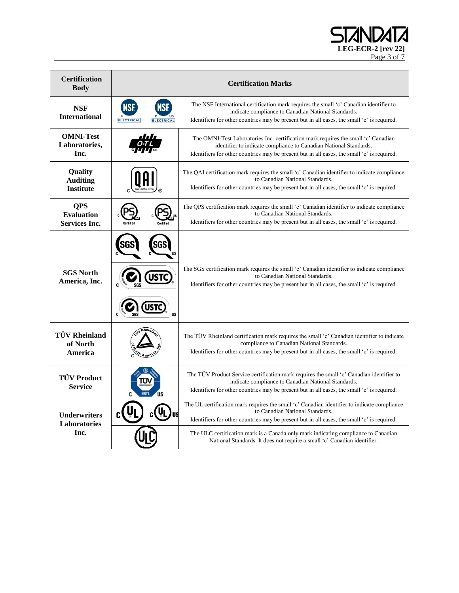LEG-ECR-2 [rev 22] Page 3 of 7

| <b>Certification</b><br><b>Body</b>                     | <b>Certification Marks</b>                           |                                                                                                                                                                                                                                                        |
|---------------------------------------------------------|------------------------------------------------------|--------------------------------------------------------------------------------------------------------------------------------------------------------------------------------------------------------------------------------------------------------|
| <b>NSF</b><br><b>International</b>                      | <b>NSF</b><br><b>ELECTRICAL</b><br><b>ELECTRICAL</b> | The NSF International certification mark requires the small 'c' Canadian identifier to<br>indicate compliance to Canadian National Standards.<br>Identifiers for other countries may be present but in all cases, the small 'c' is required.           |
| <b>OMNI-Test</b><br>Laboratories,<br>Inc.               |                                                      | The OMNI-Test Laboratories Inc. certification mark requires the small 'c' Canadian<br>identifier to indicate compliance to Canadian National Standards.<br>Identifiers for other countries may be present but in all cases, the small 'c' is required. |
| Quality<br><b>Auditing</b><br><b>Institute</b>          |                                                      | The QAI certification mark requires the small 'c' Canadian identifier to indicate compliance<br>to Canadian National Standards.<br>Identifiers for other countries may be present but in all cases, the small 'c' is required.                         |
| <b>OPS</b><br><b>Evaluation</b><br><b>Services Inc.</b> |                                                      | The QPS certification mark requires the small 'c' Canadian identifier to indicate compliance<br>to Canadian National Standards.<br>Identifiers for other countries may be present but in all cases, the small 'c' is required.                         |
| <b>SGS North</b><br>America, Inc.                       | USTC<br><b>US</b>                                    | The SGS certification mark requires the small 'c' Canadian identifier to indicate compliance<br>to Canadian National Standards.<br>Identifiers for other countries may be present but in all cases, the small 'c' is required.                         |
| <b>TÜV Rheinland</b><br>of North<br>America             |                                                      | The TÜV Rheinland certification mark requires the small 'c' Canadian identifier to indicate<br>compliance to Canadian National Standards.<br>Identifiers for other countries may be present but in all cases, the small 'c' is required.               |
| <b>TÜV Product</b><br><b>Service</b>                    | 1"r<br><b>US</b><br><b>NRTL</b>                      | The TÜV Product Service certification mark requires the small 'c' Canadian identifier to<br>indicate compliance to Canadian National Standards.<br>Identifiers for other countries may be present but in all cases, the small 'c' is required.         |
| <b>Underwriters</b><br><b>Laboratories</b>              | <b>US</b>                                            | The UL certification mark requires the small 'c' Canadian identifier to indicate compliance<br>to Canadian National Standards.<br>Identifiers for other countries may be present but in all cases, the small 'c' is required.                          |
| Inc.                                                    |                                                      | The ULC certification mark is a Canada only mark indicating compliance to Canadian<br>National Standards. It does not require a small 'c' Canadian identifier.                                                                                         |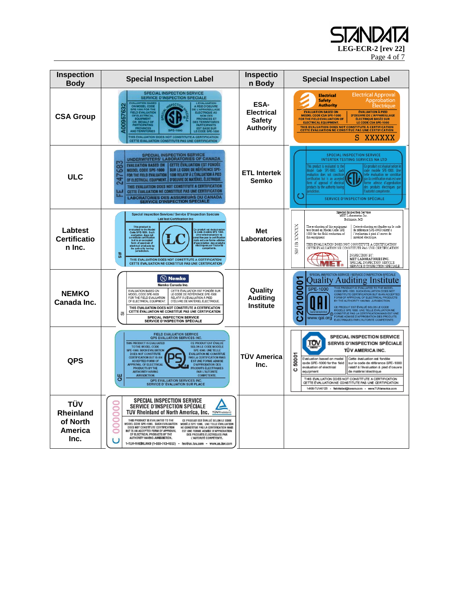LEG-ECR-2 [rev 22]

Page 4 of 7

| Inspection<br><b>Body</b>                                     | <b>Special Inspection Label</b>                                                                                                                                                                                                                                                                                                                                                                                                                                                                                                                                                                                                                                                                               | Inspectio<br>n Body                                            | <b>Special Inspection Label</b>                                                                                                                                                                                                                                                                                                                                                                                                                                                                                                                                                              |
|---------------------------------------------------------------|---------------------------------------------------------------------------------------------------------------------------------------------------------------------------------------------------------------------------------------------------------------------------------------------------------------------------------------------------------------------------------------------------------------------------------------------------------------------------------------------------------------------------------------------------------------------------------------------------------------------------------------------------------------------------------------------------------------|----------------------------------------------------------------|----------------------------------------------------------------------------------------------------------------------------------------------------------------------------------------------------------------------------------------------------------------------------------------------------------------------------------------------------------------------------------------------------------------------------------------------------------------------------------------------------------------------------------------------------------------------------------------------|
| <b>CSA Group</b>                                              | <b>SPECIAL INSPECTION SERVICE</b><br><b>SERVICE D'INSPECTION SPECIALE</b><br><b>EVALUATION BASED</b><br><b>LEVALUATION<br/> A PEID D'OEUVRE<br/> DE L'APPARIELLAGE<br/> ELECTRIQUE AU<br/> PROVINCES ET BASE SUR<br/> PROVINCES ET BASE SUR<br/> EST BASE SUR<br/> ECODE SPE-1000<br/> ECODE SPE-1000<br/> FRODE SPE-1000</b><br><b>A00957632</b><br>ON MODEL COD<br>SPE-1000 FOR THE<br>FIELD EVALUATION<br>OF ELECTRICAL<br>EQUIPMENT<br>ON BEHALF OF<br><b>PARTICIPATING</b><br><b>AND TERRITORIES</b><br>LE CODE SPE-100<br>THIS EVALUATION DOES NOT CONSTITUTE A CERTIFICATION<br>CETTE EVALUATION CONSTITUTE PAS UNE CERTIFICATION                                                                      | ESA-<br><b>Electrical</b><br><b>Safety</b><br><b>Authority</b> | <b>Electrical Approval</b><br><b>Electrical</b><br><b>Safety</b><br>Approbation<br><b>Authority</b><br><b>Electrique</b><br><b>ÉVALUATION À PIED</b><br><b>EVALUATION BASED ON</b><br><b>MODEL CODE CSA SPE-1000</b><br><b>D'OEUVRE DE L'APPAREILLAGE</b><br>FOR THE FIELD EVALUATION OF<br><b>ÉLECTRIQUE BASÉE SUR</b><br><b>ELECTRICAL EQUIPMENT.</b><br>LE CODE CSA SPE-1000<br>THIS EVALUATION DOES NOT CONSTITUTE A CERTIFICATION<br>CETTE ÉVALUATION NE CONSTITUE PAS UNE CERTIFICATION<br><b>XXXXXX</b><br>S                                                                          |
| <b>ULC</b>                                                    | <b>SPECIAL INSPECTION SERVICE</b><br>UNDERWRITERS' LABORATORIES OF CANADA<br><b>CETTE ÉVALUATION EST FONDÉE</b><br><b>EVALUATION BASED ON</b><br>သွ<br>SUR LE CODE DE RÉFÉRENCE SPE-<br>MODEL CODE SPE-1000<br>1000 RELATIF À L'ÉVALUATION À PIED<br>r.<br>FOR THE FIELD EVALUATION<br>$\mathbb{R}^2$<br><b>D'OEUVRE DE MATÉRIEL ELECTRIQUE</b><br>OF ELECTRICAL EQUIPMENT.<br>THIS EVALUATION DOES NOT CONSTITUTE A CERTIFICATION<br>CETTE ÉVALUATION NE CONSTITUE PAS UNE CERTIFICATION<br>pπ<br>m<br>LABORATORIES DES ASSUREURS DU CANADA<br>SERVICE D'INSPECTION SPECIALE                                                                                                                                 | <b>ETL Intertek</b><br>Semko                                   | <b>SPECIAL INSPECTION SERVICE</b><br>INTERTEK TESTING SERVICES NA LTD<br>his product is evaluated to th<br>e produit est évalué selon le<br>Model Code SPE-1000. Such<br>code modéle SPE-1000. Une<br>telle évaluation ne constitue<br>evaluation does not constitut<br>ertification but is an accepte<br>as la certification mais est une<br>orme admise d'approbation<br>orm of approval of electrica<br>des produits électriques par<br>products by the authority havin<br>urisdiction.<br>autorité compétente.<br>$\bullet$<br>SERVICE D'INSPECTION SPÉCIALE                             |
| Labtest<br><b>Certificatio</b><br>n Inc.                      | Special Inspection Services / Service D'Inspection Spéciale<br><b>LabTest Certification Inc</b><br>This product is<br>evaluated to the Model<br>Code SPE-1000. Such<br>evaluation does not<br>constitute certification<br>Ce produit est évalué selon<br>le code modèle SPE 1000.<br>Une telle évaluation ne<br>constitue pas la certification<br>onstitute central<br>but is an accepted<br>form of approval of<br>electrical products by<br>the authority having<br>jurisdiction.<br>mais est une forme admise<br>d'approbation des produits<br>électriques par l'autorité<br><b>MS</b><br>THIS EVALUATION DOES NOT CONSTITUTE A CERTIFICATION<br>CETTE ÉVALUATION NE CONSTITUE PAS UNE CERTIFICATION       | Met<br>Laboratories                                            | <b>Special Inspection Service</b><br>MET Laboratories Inc.<br>Baltimore, MD<br>XXXXX<br>The evaluation of this equipment<br>was based on Model Code SPE<br>Cette évaluation est fondée sur le code<br>de référence SPE-1000 relatif à<br>1000 for the field evaluation of<br>l'évaluation à pied d'ceuvre de<br>this equipment.<br>matériel électrique<br>$S$ I# IB<br>THIS EVALUATION DOES NOT CONSTITUTE A CERTIFICATION<br>CETTE ÉVALUATION NE CONSTITUTE PAS UNE CERTIFICATION<br>INSPECTION BY:<br>MET LABORATORIES INC.<br>SPECIAL INSPECTION SERVICE<br>SERVICE D'INSPECTION SPÉCIALE |
| <b>NEMKO</b><br>Canada Inc.                                   | $(N)$ Nemko<br>Nemko Canada Inc.<br><b>EVALUATION BASED ON</b><br>CETTE ÉVALUATION EST FONDÉE SUR<br>MODEL CODE SPE-1000<br>LE CODE DE RÉFÉRENCE SPE-1000<br>FOR THE FIFLD EVALUATION<br>RELATIE À L'ÉVALUATION À PIED.<br>OF ELECTRICAL EQUIPMENT.<br>D'ŒUVRE DE MATÉRIEL ÉLECTRIQUE.<br>THIS EVALUATION DOES NOT CONSTITUTE A CERTIFICATION<br>CETTE ÉVALUATION NE CONSTITUE PAS UNE CERTIFICATION<br>あ<br><b>SPECIAL INSPECTION SERVICE</b><br><b>SERVICE D'INSPECTION SPÉCIALE</b>                                                                                                                                                                                                                        | Quality<br><b>Auditing</b><br><b>Institute</b>                 | SPECIAL INSPECTION SERVICE / SERVICE D'INSPECTION SPÉCIALE<br>00001<br>Quality Auditing Institute<br>THIS PRODUCT IS EVALUATED TO THE MOD<br><b>SPE-1000</b><br>CODE SPE-1000. SUCH EVALUATION DOES NOT<br>CONSTITUTE CERTIFICATION BUT IS AN ACCEPTED<br>FORM OF APPROVAL OF ELECTRICAL PRODUCTS<br>BY THE AUTHORITY HAVING JURISDICTION.<br>201<br>П<br>CE PRODUIT EST ÉVALUÉ SELON LE CODE<br>MODÉLE SPE 1000. UNE TELLE ÉVALUATION NE<br>CONSTITUE PAS LA CERTIFICATION MAIS EST UNE<br>CO FORME ADMISE D'APPROBATION DES PRODUITS<br>WWW.qai.org ELECTRIQUES PAR L'AUTORITÉ COMPÉTENTE  |
| <b>QPS</b>                                                    | <b>FIELD EVALUATION SERVICE</b><br><b>QPS EVALUATION SERVICES INC</b><br>THIS PRODUCT IS EVALUATED<br>CE PRODUIT EST ÉVALUÉ<br>TO THE MODEL CODE<br><b>SELON LE CODE MODÈLE</b><br>SPE-1000. SUCH EVALUATION<br>SPE-1000. UNE TELLE<br>DOES NOT CONSTITUTE<br><b>FVALUATION NF CONSTITUE</b><br><b>CERTIFICATION BUT IS AN</b><br><b>PAS LA CERTIFICATION MAIS</b><br><b>ACCEPTED FORM OF</b><br><b>EST UNE FORME ADMISE</b><br><b>APPROVAL OF ELECTRICAL</b><br><b>D'APPROBATION DES</b><br>PRODUCTS BY THE<br><b>PRODUITS ELECTRIQUES</b><br><b>AUTHORITY HAVING</b><br>PAR L'ALITORITÉ<br>ăρ<br><b>JURISDICTION</b><br><b>COMPÉTENTE</b><br>QPS EVALUATION SERVICES INC.<br>SERVICE D'ÉVALUATION SUR PLACE | TÜV America<br>Inc.                                            | <b>SPECIAL INSPECTION SERVICE</b><br>$\frac{1}{2}$<br>SERVIS D'INSPECTION SPÉCIALE<br>TÜV AMERICA INC.<br>50001<br>Evaluation based on model<br>Cette évaluation est fondée<br>ao de SPE-1000 for the field<br>sur le code de référence SPE-1000<br>relatif à l'évaluation à pied d'oeuvre<br>evaluation of electrical<br>ပ<br>equipment<br>de matériel électrique<br>THIS EVALUATION DOES NOT CONSTITUTE A CERTIFICATION<br>CETTE ÉVALUATION NE CONSTITUTE PAS UNE CERTIFICATION<br>1-800-TUV-0123 - field-label@tuvam.com - www.TUVamerica.com                                             |
| <b>TÜV</b><br><b>Rheinland</b><br>of North<br>America<br>Inc. | <b>SPECIAL INSPECTION SERVICE</b><br><b>SERVICE D'INSPECTION SPÉCIALE</b><br><b>TUV Rheinland of North America, Inc. TÜVRheinlar</b><br>THIS PRODUCT IS EVALUATED TO THE<br>CE PRODUIT EST ÉVALUÉ SELON LE CODE<br>MODEL CODE SPE-1000. SUCH EVALUATION<br>MODÈLE SPE 1000, UNE TELLE ÉVALUATION<br>DOES NOT CONSTITUTE CERTIFICATION<br>NE CONSTITUE PAS LA CERTIFICATION MAIS<br>BUT IS AN ACCEPTED FORM OF APPROVAL<br>EST UNE FORME ADMISE D'APPROBATION<br>OF ELECTRICAL PRODUCTS BY THE<br>DES PRODUITS ÉLECTRIQUES PAR<br>AUTHORITY HAVING JURISDICTION.<br>L'AUTORITÉ COMPÉTENTE,<br>1-TUV-RHEINLAND (1-888-743-4652) - fes@us.tuv.com - www.us.tuv.com                                               |                                                                |                                                                                                                                                                                                                                                                                                                                                                                                                                                                                                                                                                                              |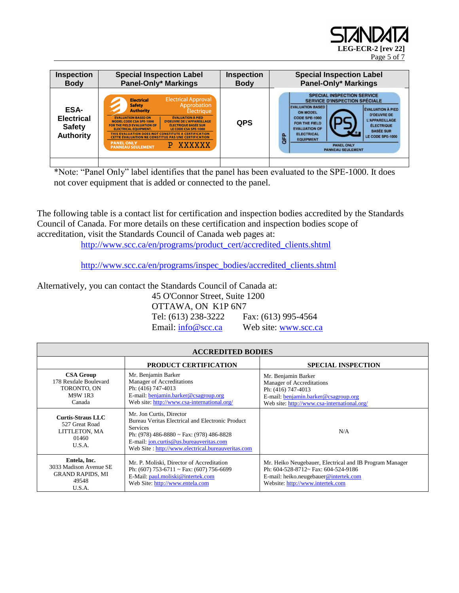

| Inspection                                                     | <b>Special Inspection Label</b>                                                                                                                                                                                                                                                                                                                                                                                                                                                                                                                                       | <b>Inspection</b> | <b>Special Inspection Label</b>                                                                                                                                                                                                                                                                                                                                                                                                   |
|----------------------------------------------------------------|-----------------------------------------------------------------------------------------------------------------------------------------------------------------------------------------------------------------------------------------------------------------------------------------------------------------------------------------------------------------------------------------------------------------------------------------------------------------------------------------------------------------------------------------------------------------------|-------------------|-----------------------------------------------------------------------------------------------------------------------------------------------------------------------------------------------------------------------------------------------------------------------------------------------------------------------------------------------------------------------------------------------------------------------------------|
| <b>Body</b>                                                    | <b>Panel-Only* Markings</b>                                                                                                                                                                                                                                                                                                                                                                                                                                                                                                                                           | <b>Body</b>       | <b>Panel-Only* Markings</b>                                                                                                                                                                                                                                                                                                                                                                                                       |
| ESA-<br><b>Electrical</b><br><b>Safety</b><br><b>Authority</b> | <b>Electrical Approval</b><br><b>Electrical</b><br>Approbation<br><b>Safety</b><br><b>Authority</b><br><b>Électrique</b><br><b>ÉVALUATION À PIED</b><br><b>EVALUATION BASED ON</b><br><b>MODEL CODE CSA SPE-1000</b><br><b>D'OEUVRE DE L'APPAREILLAGE</b><br><b>ÉLECTRIQUE BASÉE SUR</b><br>FOR THE FIELD EVALUATION OF<br><b>ELECTRICAL EQUIPMENT.</b><br>LE CODE CSA SPE-1000<br>THIS EVALUATION DOES NOT CONSTITUTE A CERTIFICATION<br><b>CETTE ÉVALUATION NE CONSTITUE PAS UNE CERTIFICATION</b><br><b>PANEL ONLY</b><br>XXXXXX<br>Р.<br><b>PANNEAU SEULEMENT</b> | <b>QPS</b>        | <b>SPECIAL INSPECTION SERVICE</b><br><b>SERVICE D'INSPECTION SPÉCIALE</b><br><b>EVALUATION BASED</b><br><b>EVALUATION A PIED</b><br><b>ON MODEL</b><br><b>D'OEUVRE DE</b><br>CODE SPE-1000<br><b>L'APPAREILLAGE</b><br>FOR THE FIELD<br><b>ÉLECTRIQUE</b><br><b>EVALUATION OF</b><br><b>BASEE SUR</b><br><b>ELECTRICAL</b><br><b>GFP</b><br>LE CODE SPE-1000<br><b>EQUIPMENT</b><br><b>PANEL ONLY</b><br><b>PANNEAU SEULEMENT</b> |

\*Note: "Panel Only" label identifies that the panel has been evaluated to the SPE-1000. It does not cover equipment that is added or connected to the panel.

The following table is a contact list for certification and inspection bodies accredited by the Standards Council of Canada. For more details on these certification and inspection bodies scope of accreditation, visit the Standards Council of Canada web pages at:

[http://www.scc.ca/en/programs/product\\_cert/accredited\\_clients.shtml](http://www.scc.ca/en/programs/product_cert/accredited_clients.shtml)

[http://www.scc.ca/en/programs/inspec\\_bodies/accredited\\_clients.shtml](http://www.scc.ca/en/programs/inspec_bodies/accredited_clients.shtml)

Alternatively, you can contact the Standards Council of Canada at:

45 O'Connor Street, Suite 1200 OTTAWA, ON K1P 6N7 Tel: (613) 238-3222 Fax: (613) 995-4564 Email:  $\frac{info@scc.ca}{info@scc.ca}$  Web site: [www.scc.ca](http://www.scc.ca/)

| <b>ACCREDITED BODIES</b>                                                             |                                                                                                                                                                                                                                             |                                                                                                                                                                             |  |
|--------------------------------------------------------------------------------------|---------------------------------------------------------------------------------------------------------------------------------------------------------------------------------------------------------------------------------------------|-----------------------------------------------------------------------------------------------------------------------------------------------------------------------------|--|
|                                                                                      | PRODUCT CERTIFICATION                                                                                                                                                                                                                       | <b>SPECIAL INSPECTION</b>                                                                                                                                                   |  |
| <b>CSA Group</b><br>178 Rexdale Boulevard<br>TORONTO, ON<br><b>M9W 1R3</b><br>Canada | Mr. Benjamin Barker<br>Manager of Accreditations<br>Ph: (416) 747-4013<br>E-mail: benjamin.barker@csagroup.org<br>Web site: http://www.csa-international.org/                                                                               | Mr. Benjamin Barker<br>Manager of Accreditations<br>Ph: (416) 747-4013<br>E-mail: benjamin.barker@csagroup.org<br>Web site: http://www.csa-international.org/               |  |
| <b>Curtis-Straus LLC</b><br>527 Great Road<br>LITTLETON, MA<br>01460<br>U.S.A.       | Mr. Jon Curtis, Director<br>Bureau Veritas Electrical and Electronic Product<br><b>Services</b><br>Ph: (978) 486-8880 ~ Fax: (978) 486-8828<br>E-mail: jon.curtis@us.bureauveritas.com<br>Web Site: http://www.electrical.bureauveritas.com | N/A                                                                                                                                                                         |  |
| Entela, Inc.<br>3033 Madison Avenue SE<br><b>GRAND RAPIDS, MI</b><br>49548<br>U.S.A. | Mr. P. Moliski, Director of Accreditation<br>Ph: $(607)$ 753-6711 ~ Fax: $(607)$ 756-6699<br>E-Mail: paul.moliski@intertek.com<br>Web Site: http://www.entela.com                                                                           | Mr. Heiko Neugebauer, Electrical and IB Program Manager<br>Ph: 604-528-8712~ Fax: 604-524-9186<br>E-mail: heiko.neugebauer@intertek.com<br>Website: http://www.intertek.com |  |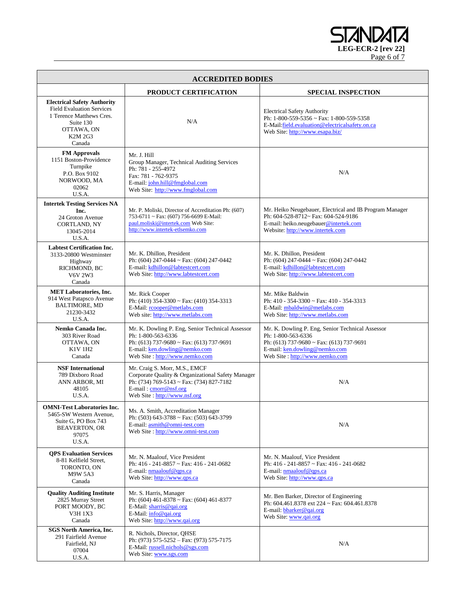LEG-ECR-2 [rev 22] Page 6 of 7

| <b>ACCREDITED BODIES</b>                                                                                                                           |                                                                                                                                                                                            |                                                                                                                                                                                       |  |
|----------------------------------------------------------------------------------------------------------------------------------------------------|--------------------------------------------------------------------------------------------------------------------------------------------------------------------------------------------|---------------------------------------------------------------------------------------------------------------------------------------------------------------------------------------|--|
|                                                                                                                                                    | PRODUCT CERTIFICATION                                                                                                                                                                      | <b>SPECIAL INSPECTION</b>                                                                                                                                                             |  |
| <b>Electrical Safety Authority</b><br><b>Field Evaluation Services</b><br>1 Terence Matthews Cres.<br>Suite 130<br>OTTAWA, ON<br>K2M 2G3<br>Canada | N/A                                                                                                                                                                                        | <b>Electrical Safety Authority</b><br>Ph: 1-800-559-5356 ~ Fax: 1-800-559-5358<br>E-Mail:field.evaluation@electricalsafety.on.ca<br>Web Site: http://www.esapa.biz/                   |  |
| <b>FM Approvals</b><br>1151 Boston-Providence<br>Turnpike<br>P.O. Box 9102<br>NORWOOD, MA<br>02062<br>U.S.A.                                       | Mr. J. Hill<br>Group Manager, Technical Auditing Services<br>Ph: 781 - 255-4972<br>Fax: 781 - 762-9375<br>E-mail: john.hill@fmglobal.com<br>Web Site: http://www.fmglobal.com              | N/A                                                                                                                                                                                   |  |
| <b>Intertek Testing Services NA</b><br>Inc.<br>24 Groton Avenue<br><b>CORTLAND, NY</b><br>13045-2014<br>U.S.A.                                     | Mr. P. Moliski, Director of Accreditation Ph: (607)<br>753-6711 ~ Fax: (607) 756-6699 E-Mail:<br>paul.moliski@intertek.com Web Site:<br>http://www.intertek-etlsemko.com                   | Mr. Heiko Neugebauer, Electrical and IB Program Manager<br>Ph: 604-528-8712~ Fax: 604-524-9186<br>E-mail: heiko.neugebauer@intertek.com<br>Website: http://www.intertek.com           |  |
| <b>Labtest Certification Inc.</b><br>3133-20800 Westminster<br>Highway<br>RICHMOND, BC<br><b>V6V 2W3</b><br>Canada                                 | Mr. K. Dhillon, President<br>Ph: $(604)$ 247-0444 ~ Fax: $(604)$ 247-0442<br>E-mail: kdhillon@labtestcert.com<br>Web Site: http://www.labtestcert.com                                      | Mr. K. Dhillon, President<br>Ph: $(604)$ 247-0444 ~ Fax: $(604)$ 247-0442<br>E-mail: kdhillon@labtestcert.com<br>Web Site: http://www.labtestcert.com                                 |  |
| <b>MET Laboratories, Inc.</b><br>914 West Patapsco Avenue<br><b>BALTIMORE, MD</b><br>21230-3432<br>U.S.A.                                          | Mr. Rick Cooper<br>Ph: $(410)$ 354-3300 ~ Fax: $(410)$ 354-3313<br>E-Mail: rcooper@metlabs.com<br>Web site: http://www.metlabs.com                                                         | Mr. Mike Baldwin<br>Ph: 410 - 354-3300 ~ Fax: 410 - 354-3313<br>E-Mail: mbaldwin@metlabs.com<br>Web Site: http://www.metlabs.com                                                      |  |
| Nemko Canada Inc.<br>303 River Road<br>OTTAWA, ON<br>K1V 1H2<br>Canada                                                                             | Mr. K. Dowling P. Eng, Senior Technical Assessor<br>Ph: 1-800-563-6336<br>Ph: $(613)$ 737-9680 ~ Fax: $(613)$ 737-9691<br>E-mail: ken.dowling@nemko.com<br>Web Site : http://www.nemko.com | Mr. K. Dowling P. Eng, Senior Technical Assessor<br>Ph: 1-800-563-6336<br>Ph: (613) 737-9680 ~ Fax: (613) 737-9691<br>E-mail: ken.dowling@nemko.com<br>Web Site: http://www.nemko.com |  |
| <b>NSF</b> International<br>789 Dixboro Road<br>ANN ARBOR, MI<br>48105<br>U.S.A.                                                                   | Mr. Craig S. Morr, M.S., EMCF<br>Corporate Quality & Organizational Safety Manager<br>Ph: (734) 769-5143 ~ Fax: (734) 827-7182<br>E-mail: cmorr@nsf.org<br>Web Site: http://www.nsf.org    | N/A                                                                                                                                                                                   |  |
| <b>OMNI-Test Laboratories Inc.</b><br>5465-SW Western Avenue,<br>Suite G, PO Box 743<br><b>BEAVERTON, OR</b><br>97075<br>U.S.A.                    | Ms. A. Smith, Accreditation Manager<br>Ph: $(503)$ 643-3788 ~ Fax: $(503)$ 643-3799<br>E-mail: asmith@omni-test.com<br>Web Site: http://www.omni-test.com                                  | N/A                                                                                                                                                                                   |  |
| <b>QPS Evaluation Services</b><br>8-81 Kelfield Street,<br>TORONTO, ON<br>M9W 5A3<br>Canada                                                        | Mr. N. Maalouf, Vice President<br>Ph: 416 - 241-8857 ~ Fax: 416 - 241-0682<br>E-mail: $nmaalouf@qps.ca$<br>Web Site: http://www.qps.ca                                                     | Mr. N. Maalouf, Vice President<br>Ph: 416 - 241-8857 ~ Fax: 416 - 241-0682<br>E-mail: $nmaalouf@qps.ca$<br>Web Site: http://www.qps.ca                                                |  |
| <b>Quality Auditing Institute</b><br>2825 Murray Street<br>PORT MOODY, BC<br>V3H 1X3<br>Canada                                                     | Mr. S. Harris, Manager<br>Ph: $(604)$ 461-8378 ~ Fax: $(604)$ 461-8377<br>E-Mail: $sharp@qai.org$<br>E-Mail: $info@qai.org$<br>Web Site: http://www.qai.org                                | Mr. Ben Barker, Director of Engineering<br>Ph: 604.461.8378 ext 224 ~ Fax: 604.461.8378<br>E-mail: bbarker@qai.org<br>Web Site: www.qai.org                                           |  |
| <b>SGS North America, Inc.</b><br>291 Fairfield Avenue<br>Fairfield, NJ<br>07004<br>U.S.A.                                                         | R. Nichols, Director, QHSE<br>Ph: (973) 575-5252 - Fax: (973) 575-7175<br>E-Mail: russell.nichols@sgs.com<br>Web Site: www.sgs.com                                                         | N/A                                                                                                                                                                                   |  |